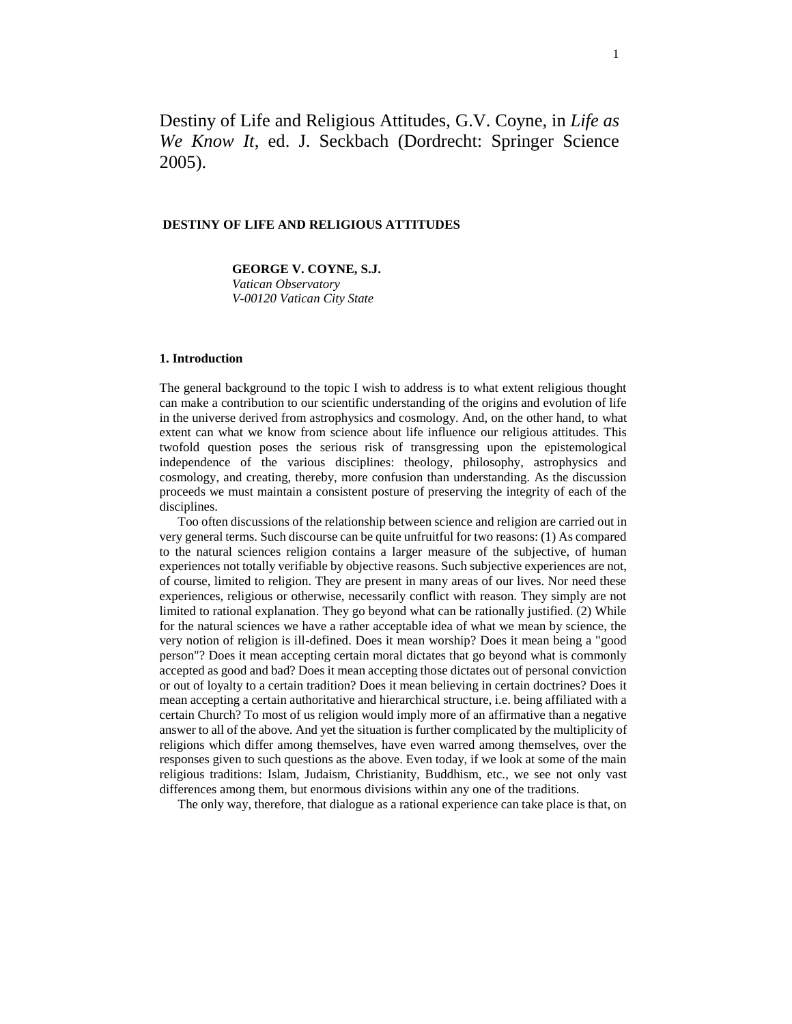Destiny of Life and Religious Attitudes, G.V. Coyne, in *Life as We Know It*, ed. J. Seckbach (Dordrecht: Springer Science 2005).

#### **DESTINY OF LIFE AND RELIGIOUS ATTITUDES**

 **GEORGE V. COYNE, S.J.** *Vatican Observatory V-00120 Vatican City State*

#### **1. Introduction**

The general background to the topic I wish to address is to what extent religious thought can make a contribution to our scientific understanding of the origins and evolution of life in the universe derived from astrophysics and cosmology. And, on the other hand, to what extent can what we know from science about life influence our religious attitudes. This twofold question poses the serious risk of transgressing upon the epistemological independence of the various disciplines: theology, philosophy, astrophysics and cosmology, and creating, thereby, more confusion than understanding. As the discussion proceeds we must maintain a consistent posture of preserving the integrity of each of the disciplines.

Too often discussions of the relationship between science and religion are carried out in very general terms. Such discourse can be quite unfruitful for two reasons: (1) As compared to the natural sciences religion contains a larger measure of the subjective, of human experiences not totally verifiable by objective reasons. Such subjective experiences are not, of course, limited to religion. They are present in many areas of our lives. Nor need these experiences, religious or otherwise, necessarily conflict with reason. They simply are not limited to rational explanation. They go beyond what can be rationally justified. (2) While for the natural sciences we have a rather acceptable idea of what we mean by science, the very notion of religion is ill-defined. Does it mean worship? Does it mean being a "good person"? Does it mean accepting certain moral dictates that go beyond what is commonly accepted as good and bad? Does it mean accepting those dictates out of personal conviction or out of loyalty to a certain tradition? Does it mean believing in certain doctrines? Does it mean accepting a certain authoritative and hierarchical structure, i.e. being affiliated with a certain Church? To most of us religion would imply more of an affirmative than a negative answer to all of the above. And yet the situation is further complicated by the multiplicity of religions which differ among themselves, have even warred among themselves, over the responses given to such questions as the above. Even today, if we look at some of the main religious traditions: Islam, Judaism, Christianity, Buddhism, etc., we see not only vast differences among them, but enormous divisions within any one of the traditions.

The only way, therefore, that dialogue as a rational experience can take place is that, on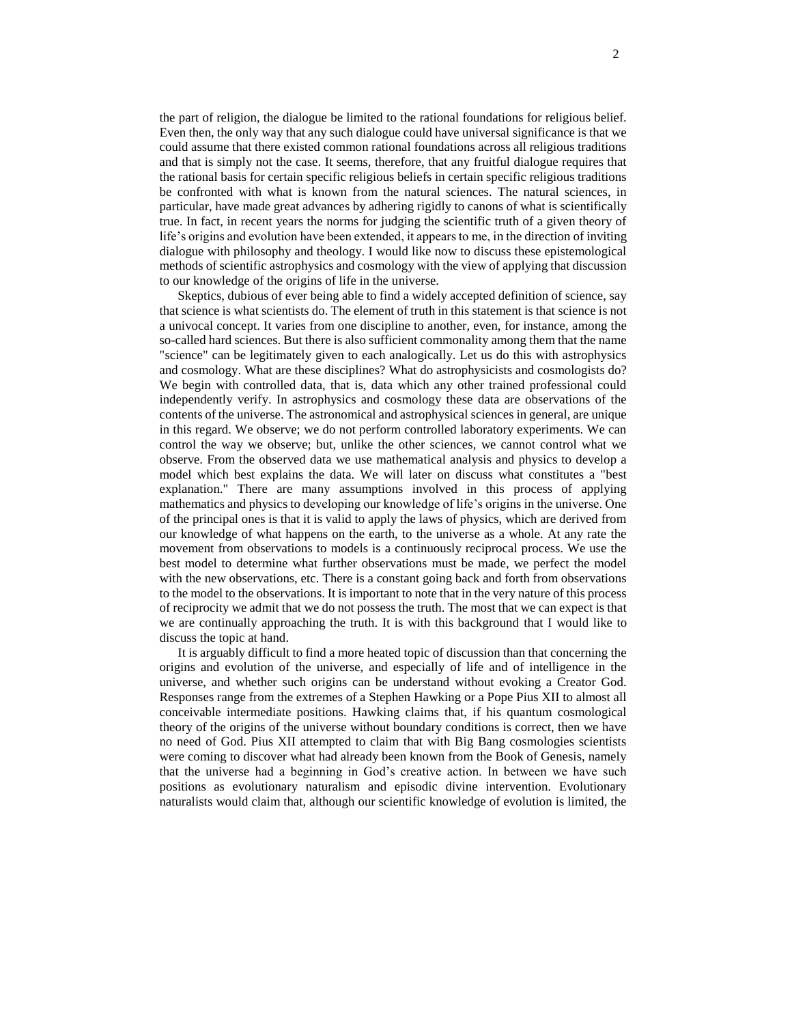the part of religion, the dialogue be limited to the rational foundations for religious belief. Even then, the only way that any such dialogue could have universal significance is that we could assume that there existed common rational foundations across all religious traditions and that is simply not the case. It seems, therefore, that any fruitful dialogue requires that the rational basis for certain specific religious beliefs in certain specific religious traditions be confronted with what is known from the natural sciences. The natural sciences, in particular, have made great advances by adhering rigidly to canons of what is scientifically true. In fact, in recent years the norms for judging the scientific truth of a given theory of life's origins and evolution have been extended, it appears to me, in the direction of inviting dialogue with philosophy and theology. I would like now to discuss these epistemological methods of scientific astrophysics and cosmology with the view of applying that discussion to our knowledge of the origins of life in the universe.

Skeptics, dubious of ever being able to find a widely accepted definition of science, say that science is what scientists do. The element of truth in this statement is that science is not a univocal concept. It varies from one discipline to another, even, for instance, among the so-called hard sciences. But there is also sufficient commonality among them that the name "science" can be legitimately given to each analogically. Let us do this with astrophysics and cosmology. What are these disciplines? What do astrophysicists and cosmologists do? We begin with controlled data, that is, data which any other trained professional could independently verify. In astrophysics and cosmology these data are observations of the contents of the universe. The astronomical and astrophysical sciences in general, are unique in this regard. We observe; we do not perform controlled laboratory experiments. We can control the way we observe; but, unlike the other sciences, we cannot control what we observe. From the observed data we use mathematical analysis and physics to develop a model which best explains the data. We will later on discuss what constitutes a "best explanation." There are many assumptions involved in this process of applying mathematics and physics to developing our knowledge of life's origins in the universe. One of the principal ones is that it is valid to apply the laws of physics, which are derived from our knowledge of what happens on the earth, to the universe as a whole. At any rate the movement from observations to models is a continuously reciprocal process. We use the best model to determine what further observations must be made, we perfect the model with the new observations, etc. There is a constant going back and forth from observations to the model to the observations. It is important to note that in the very nature of this process of reciprocity we admit that we do not possess the truth. The most that we can expect is that we are continually approaching the truth. It is with this background that I would like to discuss the topic at hand.

It is arguably difficult to find a more heated topic of discussion than that concerning the origins and evolution of the universe, and especially of life and of intelligence in the universe, and whether such origins can be understand without evoking a Creator God. Responses range from the extremes of a Stephen Hawking or a Pope Pius XII to almost all conceivable intermediate positions. Hawking claims that, if his quantum cosmological theory of the origins of the universe without boundary conditions is correct, then we have no need of God. Pius XII attempted to claim that with Big Bang cosmologies scientists were coming to discover what had already been known from the Book of Genesis, namely that the universe had a beginning in God's creative action. In between we have such positions as evolutionary naturalism and episodic divine intervention. Evolutionary naturalists would claim that, although our scientific knowledge of evolution is limited, the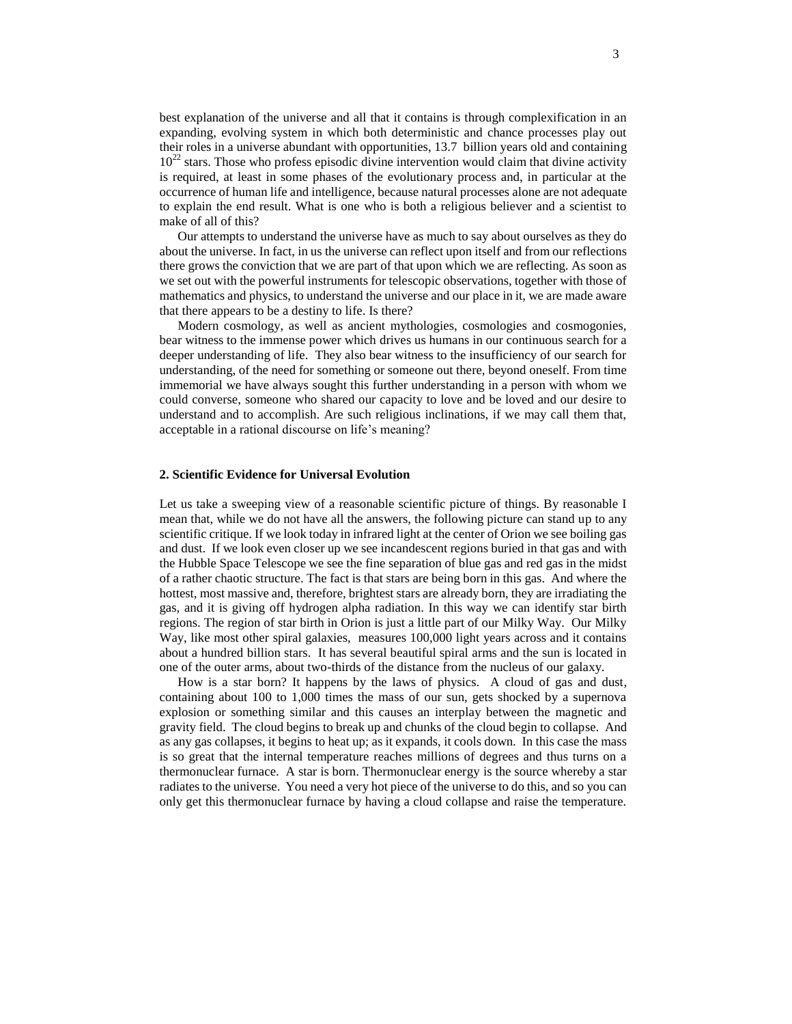best explanation of the universe and all that it contains is through complexification in an expanding, evolving system in which both deterministic and chance processes play out their roles in a universe abundant with opportunities, 13.7 billion years old and containing  $10^{22}$  stars. Those who profess episodic divine intervention would claim that divine activity is required, at least in some phases of the evolutionary process and, in particular at the occurrence of human life and intelligence, because natural processes alone are not adequate to explain the end result. What is one who is both a religious believer and a scientist to make of all of this?

Our attempts to understand the universe have as much to say about ourselves as they do about the universe. In fact, in us the universe can reflect upon itself and from our reflections there grows the conviction that we are part of that upon which we are reflecting. As soon as we set out with the powerful instruments for telescopic observations, together with those of mathematics and physics, to understand the universe and our place in it, we are made aware that there appears to be a destiny to life. Is there?

Modern cosmology, as well as ancient mythologies, cosmologies and cosmogonies, bear witness to the immense power which drives us humans in our continuous search for a deeper understanding of life. They also bear witness to the insufficiency of our search for understanding, of the need for something or someone out there, beyond oneself. From time immemorial we have always sought this further understanding in a person with whom we could converse, someone who shared our capacity to love and be loved and our desire to understand and to accomplish. Are such religious inclinations, if we may call them that, acceptable in a rational discourse on life's meaning?

#### **2. Scientific Evidence for Universal Evolution**

Let us take a sweeping view of a reasonable scientific picture of things. By reasonable I mean that, while we do not have all the answers, the following picture can stand up to any scientific critique. If we look today in infrared light at the center of Orion we see boiling gas and dust. If we look even closer up we see incandescent regions buried in that gas and with the Hubble Space Telescope we see the fine separation of blue gas and red gas in the midst of a rather chaotic structure. The fact is that stars are being born in this gas. And where the hottest, most massive and, therefore, brightest stars are already born, they are irradiating the gas, and it is giving off hydrogen alpha radiation. In this way we can identify star birth regions. The region of star birth in Orion is just a little part of our Milky Way. Our Milky Way, like most other spiral galaxies, measures 100,000 light years across and it contains about a hundred billion stars. It has several beautiful spiral arms and the sun is located in one of the outer arms, about two-thirds of the distance from the nucleus of our galaxy.

How is a star born? It happens by the laws of physics. A cloud of gas and dust, containing about 100 to 1,000 times the mass of our sun, gets shocked by a supernova explosion or something similar and this causes an interplay between the magnetic and gravity field. The cloud begins to break up and chunks of the cloud begin to collapse. And as any gas collapses, it begins to heat up; as it expands, it cools down. In this case the mass is so great that the internal temperature reaches millions of degrees and thus turns on a thermonuclear furnace. A star is born. Thermonuclear energy is the source whereby a star radiates to the universe. You need a very hot piece of the universe to do this, and so you can only get this thermonuclear furnace by having a cloud collapse and raise the temperature.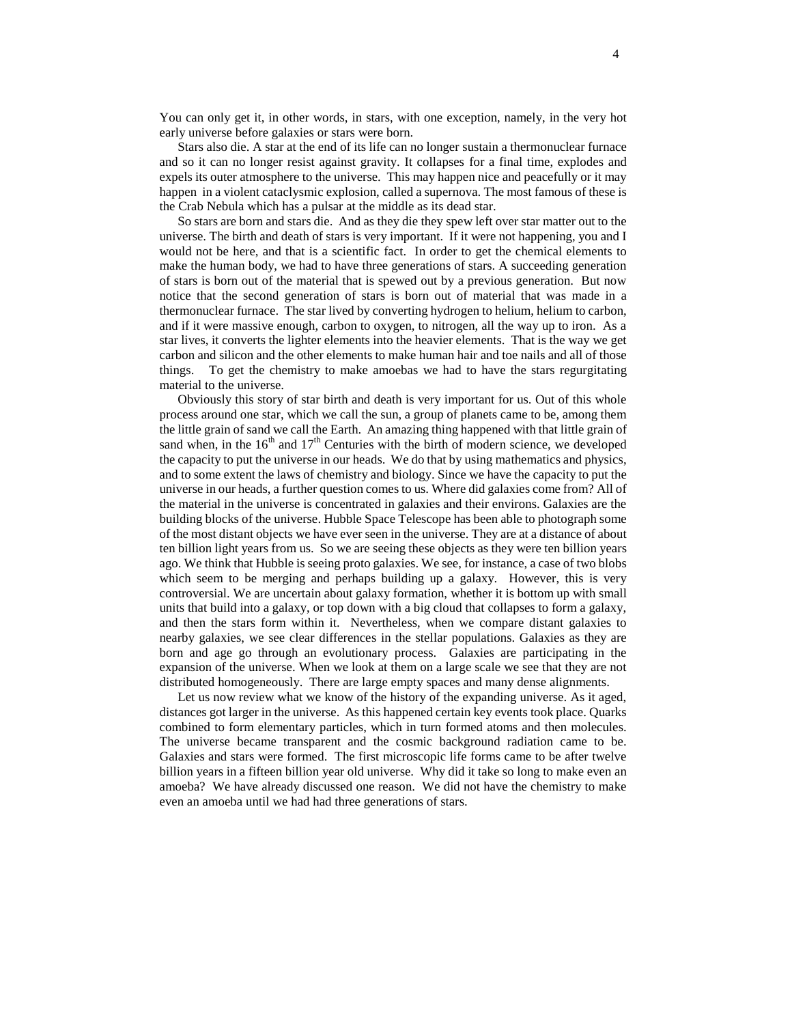You can only get it, in other words, in stars, with one exception, namely, in the very hot early universe before galaxies or stars were born.

Stars also die. A star at the end of its life can no longer sustain a thermonuclear furnace and so it can no longer resist against gravity. It collapses for a final time, explodes and expels its outer atmosphere to the universe. This may happen nice and peacefully or it may happen in a violent cataclysmic explosion, called a supernova. The most famous of these is the Crab Nebula which has a pulsar at the middle as its dead star.

So stars are born and stars die. And as they die they spew left over star matter out to the universe. The birth and death of stars is very important. If it were not happening, you and I would not be here, and that is a scientific fact. In order to get the chemical elements to make the human body, we had to have three generations of stars. A succeeding generation of stars is born out of the material that is spewed out by a previous generation. But now notice that the second generation of stars is born out of material that was made in a thermonuclear furnace. The star lived by converting hydrogen to helium, helium to carbon, and if it were massive enough, carbon to oxygen, to nitrogen, all the way up to iron. As a star lives, it converts the lighter elements into the heavier elements. That is the way we get carbon and silicon and the other elements to make human hair and toe nails and all of those things. To get the chemistry to make amoebas we had to have the stars regurgitating material to the universe.

Obviously this story of star birth and death is very important for us. Out of this whole process around one star, which we call the sun, a group of planets came to be, among them the little grain of sand we call the Earth. An amazing thing happened with that little grain of sand when, in the  $16<sup>th</sup>$  and  $17<sup>th</sup>$  Centuries with the birth of modern science, we developed the capacity to put the universe in our heads. We do that by using mathematics and physics, and to some extent the laws of chemistry and biology. Since we have the capacity to put the universe in our heads, a further question comes to us. Where did galaxies come from? All of the material in the universe is concentrated in galaxies and their environs. Galaxies are the building blocks of the universe. Hubble Space Telescope has been able to photograph some of the most distant objects we have ever seen in the universe. They are at a distance of about ten billion light years from us. So we are seeing these objects as they were ten billion years ago. We think that Hubble is seeing proto galaxies. We see, for instance, a case of two blobs which seem to be merging and perhaps building up a galaxy. However, this is very controversial. We are uncertain about galaxy formation, whether it is bottom up with small units that build into a galaxy, or top down with a big cloud that collapses to form a galaxy, and then the stars form within it. Nevertheless, when we compare distant galaxies to nearby galaxies, we see clear differences in the stellar populations. Galaxies as they are born and age go through an evolutionary process. Galaxies are participating in the expansion of the universe. When we look at them on a large scale we see that they are not distributed homogeneously. There are large empty spaces and many dense alignments.

Let us now review what we know of the history of the expanding universe. As it aged, distances got larger in the universe. As this happened certain key events took place. Quarks combined to form elementary particles, which in turn formed atoms and then molecules. The universe became transparent and the cosmic background radiation came to be. Galaxies and stars were formed. The first microscopic life forms came to be after twelve billion years in a fifteen billion year old universe. Why did it take so long to make even an amoeba? We have already discussed one reason. We did not have the chemistry to make even an amoeba until we had had three generations of stars.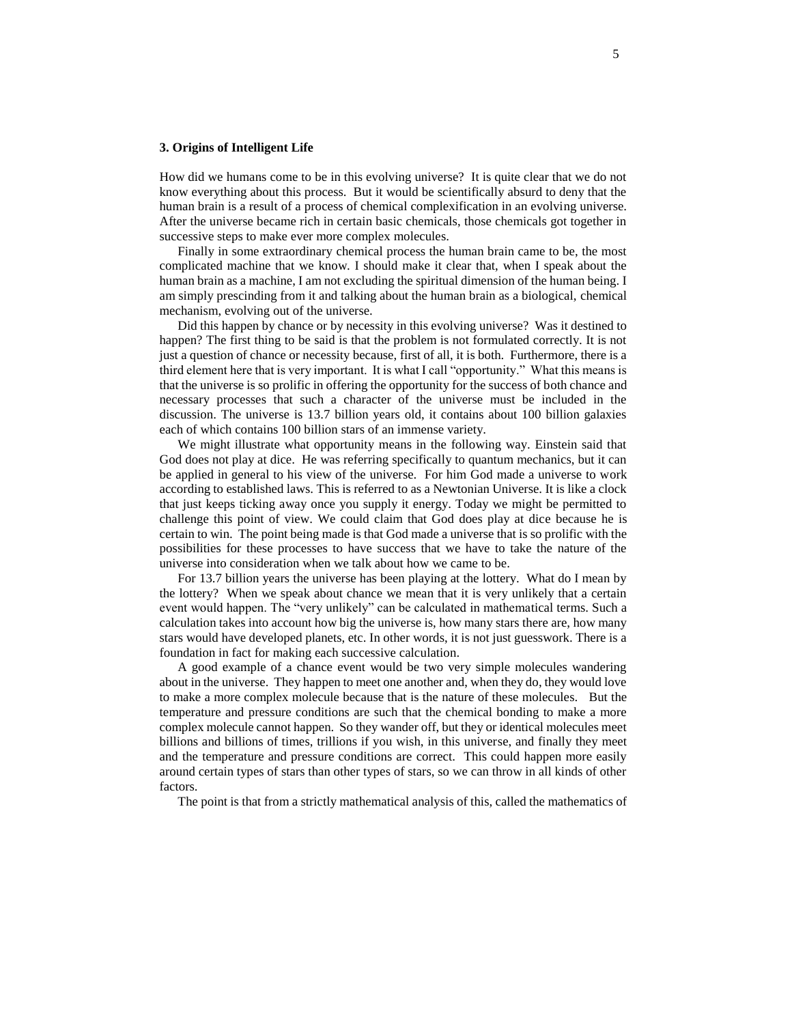# **3. Origins of Intelligent Life**

How did we humans come to be in this evolving universe? It is quite clear that we do not know everything about this process. But it would be scientifically absurd to deny that the human brain is a result of a process of chemical complexification in an evolving universe. After the universe became rich in certain basic chemicals, those chemicals got together in successive steps to make ever more complex molecules.

Finally in some extraordinary chemical process the human brain came to be, the most complicated machine that we know. I should make it clear that, when I speak about the human brain as a machine, I am not excluding the spiritual dimension of the human being. I am simply prescinding from it and talking about the human brain as a biological, chemical mechanism, evolving out of the universe.

Did this happen by chance or by necessity in this evolving universe? Was it destined to happen? The first thing to be said is that the problem is not formulated correctly. It is not just a question of chance or necessity because, first of all, it is both. Furthermore, there is a third element here that is very important. It is what I call "opportunity." What this means is that the universe is so prolific in offering the opportunity for the success of both chance and necessary processes that such a character of the universe must be included in the discussion. The universe is 13.7 billion years old, it contains about 100 billion galaxies each of which contains 100 billion stars of an immense variety.

We might illustrate what opportunity means in the following way. Einstein said that God does not play at dice. He was referring specifically to quantum mechanics, but it can be applied in general to his view of the universe. For him God made a universe to work according to established laws. This is referred to as a Newtonian Universe. It is like a clock that just keeps ticking away once you supply it energy. Today we might be permitted to challenge this point of view. We could claim that God does play at dice because he is certain to win. The point being made is that God made a universe that is so prolific with the possibilities for these processes to have success that we have to take the nature of the universe into consideration when we talk about how we came to be.

For 13.7 billion years the universe has been playing at the lottery. What do I mean by the lottery? When we speak about chance we mean that it is very unlikely that a certain event would happen. The "very unlikely" can be calculated in mathematical terms. Such a calculation takes into account how big the universe is, how many stars there are, how many stars would have developed planets, etc. In other words, it is not just guesswork. There is a foundation in fact for making each successive calculation.

A good example of a chance event would be two very simple molecules wandering about in the universe. They happen to meet one another and, when they do, they would love to make a more complex molecule because that is the nature of these molecules. But the temperature and pressure conditions are such that the chemical bonding to make a more complex molecule cannot happen. So they wander off, but they or identical molecules meet billions and billions of times, trillions if you wish, in this universe, and finally they meet and the temperature and pressure conditions are correct. This could happen more easily around certain types of stars than other types of stars, so we can throw in all kinds of other factors.

The point is that from a strictly mathematical analysis of this, called the mathematics of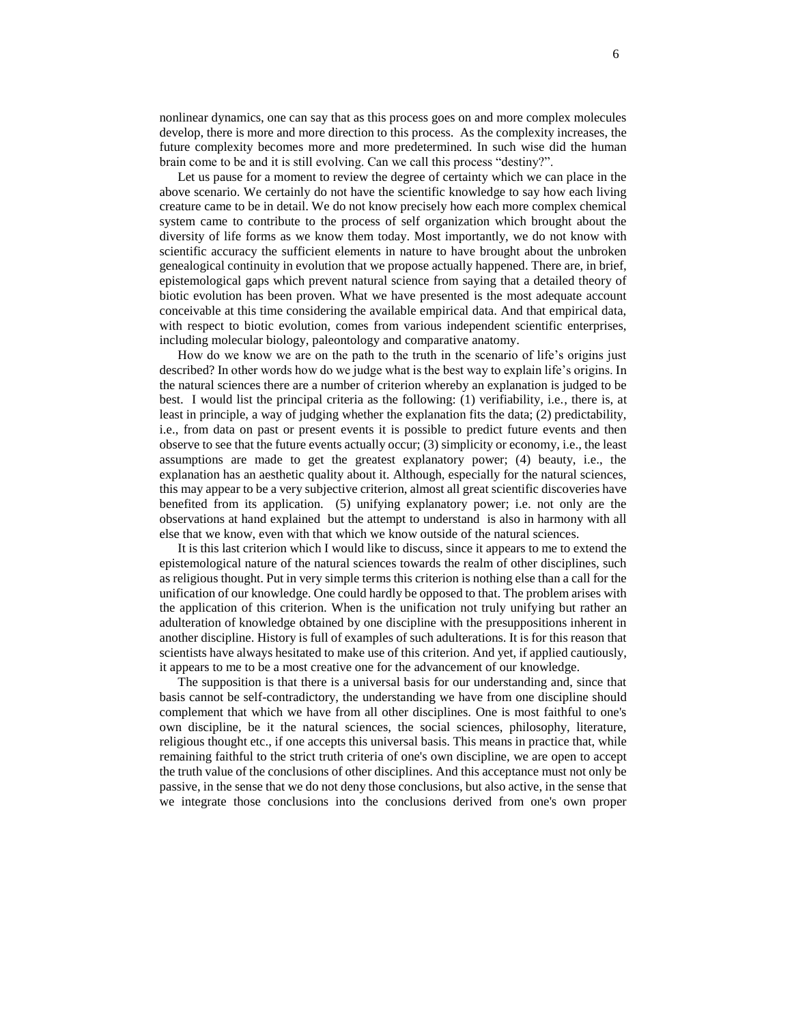nonlinear dynamics, one can say that as this process goes on and more complex molecules develop, there is more and more direction to this process. As the complexity increases, the future complexity becomes more and more predetermined. In such wise did the human brain come to be and it is still evolving. Can we call this process "destiny?".

Let us pause for a moment to review the degree of certainty which we can place in the above scenario. We certainly do not have the scientific knowledge to say how each living creature came to be in detail. We do not know precisely how each more complex chemical system came to contribute to the process of self organization which brought about the diversity of life forms as we know them today. Most importantly, we do not know with scientific accuracy the sufficient elements in nature to have brought about the unbroken genealogical continuity in evolution that we propose actually happened. There are, in brief, epistemological gaps which prevent natural science from saying that a detailed theory of biotic evolution has been proven. What we have presented is the most adequate account conceivable at this time considering the available empirical data. And that empirical data, with respect to biotic evolution, comes from various independent scientific enterprises, including molecular biology, paleontology and comparative anatomy.

How do we know we are on the path to the truth in the scenario of life's origins just described? In other words how do we judge what is the best way to explain life's origins. In the natural sciences there are a number of criterion whereby an explanation is judged to be best. I would list the principal criteria as the following: (1) verifiability, i.e., there is, at least in principle, a way of judging whether the explanation fits the data; (2) predictability, i.e., from data on past or present events it is possible to predict future events and then observe to see that the future events actually occur; (3) simplicity or economy, i.e., the least assumptions are made to get the greatest explanatory power; (4) beauty, i.e., the explanation has an aesthetic quality about it. Although, especially for the natural sciences, this may appear to be a very subjective criterion, almost all great scientific discoveries have benefited from its application. (5) unifying explanatory power; i.e. not only are the observations at hand explained but the attempt to understand is also in harmony with all else that we know, even with that which we know outside of the natural sciences.

It is this last criterion which I would like to discuss, since it appears to me to extend the epistemological nature of the natural sciences towards the realm of other disciplines, such as religious thought. Put in very simple terms this criterion is nothing else than a call for the unification of our knowledge. One could hardly be opposed to that. The problem arises with the application of this criterion. When is the unification not truly unifying but rather an adulteration of knowledge obtained by one discipline with the presuppositions inherent in another discipline. History is full of examples of such adulterations. It is for this reason that scientists have always hesitated to make use of this criterion. And yet, if applied cautiously, it appears to me to be a most creative one for the advancement of our knowledge.

The supposition is that there is a universal basis for our understanding and, since that basis cannot be self-contradictory, the understanding we have from one discipline should complement that which we have from all other disciplines. One is most faithful to one's own discipline, be it the natural sciences, the social sciences, philosophy, literature, religious thought etc., if one accepts this universal basis. This means in practice that, while remaining faithful to the strict truth criteria of one's own discipline, we are open to accept the truth value of the conclusions of other disciplines. And this acceptance must not only be passive, in the sense that we do not deny those conclusions, but also active, in the sense that we integrate those conclusions into the conclusions derived from one's own proper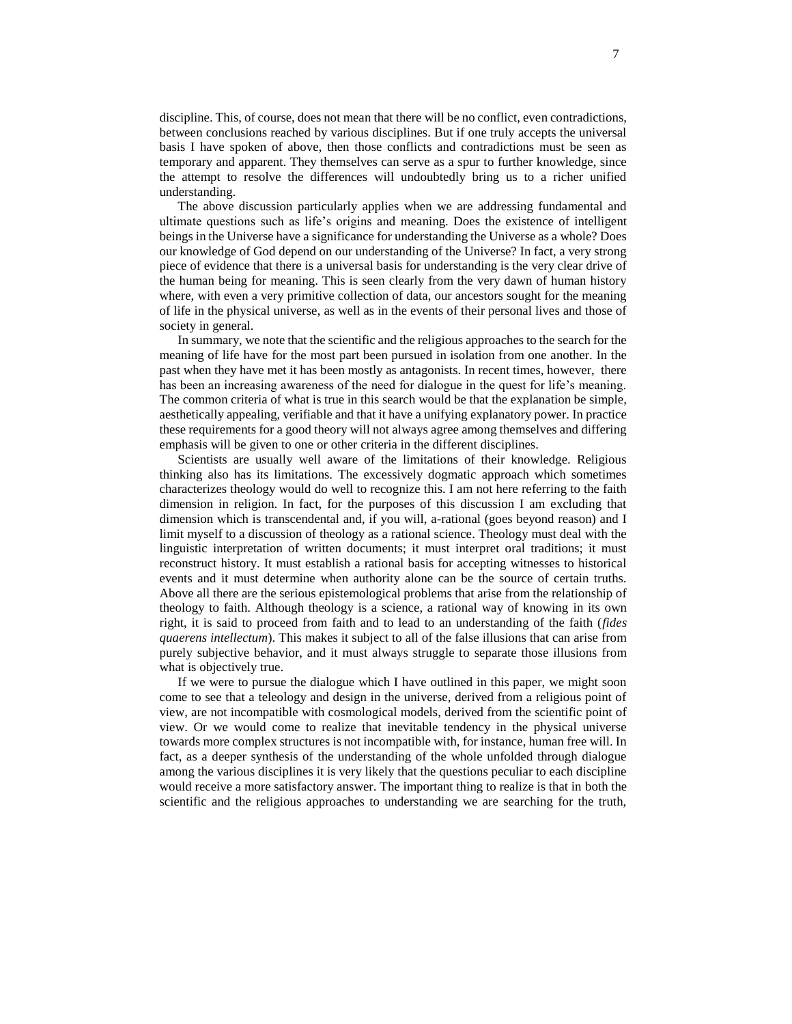discipline. This, of course, does not mean that there will be no conflict, even contradictions, between conclusions reached by various disciplines. But if one truly accepts the universal basis I have spoken of above, then those conflicts and contradictions must be seen as temporary and apparent. They themselves can serve as a spur to further knowledge, since the attempt to resolve the differences will undoubtedly bring us to a richer unified understanding.

The above discussion particularly applies when we are addressing fundamental and ultimate questions such as life's origins and meaning. Does the existence of intelligent beings in the Universe have a significance for understanding the Universe as a whole? Does our knowledge of God depend on our understanding of the Universe? In fact, a very strong piece of evidence that there is a universal basis for understanding is the very clear drive of the human being for meaning. This is seen clearly from the very dawn of human history where, with even a very primitive collection of data, our ancestors sought for the meaning of life in the physical universe, as well as in the events of their personal lives and those of society in general.

In summary, we note that the scientific and the religious approaches to the search for the meaning of life have for the most part been pursued in isolation from one another. In the past when they have met it has been mostly as antagonists. In recent times, however, there has been an increasing awareness of the need for dialogue in the quest for life's meaning. The common criteria of what is true in this search would be that the explanation be simple, aesthetically appealing, verifiable and that it have a unifying explanatory power. In practice these requirements for a good theory will not always agree among themselves and differing emphasis will be given to one or other criteria in the different disciplines.

Scientists are usually well aware of the limitations of their knowledge. Religious thinking also has its limitations. The excessively dogmatic approach which sometimes characterizes theology would do well to recognize this. I am not here referring to the faith dimension in religion. In fact, for the purposes of this discussion I am excluding that dimension which is transcendental and, if you will, a-rational (goes beyond reason) and I limit myself to a discussion of theology as a rational science. Theology must deal with the linguistic interpretation of written documents; it must interpret oral traditions; it must reconstruct history. It must establish a rational basis for accepting witnesses to historical events and it must determine when authority alone can be the source of certain truths. Above all there are the serious epistemological problems that arise from the relationship of theology to faith. Although theology is a science, a rational way of knowing in its own right, it is said to proceed from faith and to lead to an understanding of the faith (*fides quaerens intellectum*). This makes it subject to all of the false illusions that can arise from purely subjective behavior, and it must always struggle to separate those illusions from what is objectively true.

If we were to pursue the dialogue which I have outlined in this paper, we might soon come to see that a teleology and design in the universe, derived from a religious point of view, are not incompatible with cosmological models, derived from the scientific point of view. Or we would come to realize that inevitable tendency in the physical universe towards more complex structures is not incompatible with, for instance, human free will. In fact, as a deeper synthesis of the understanding of the whole unfolded through dialogue among the various disciplines it is very likely that the questions peculiar to each discipline would receive a more satisfactory answer. The important thing to realize is that in both the scientific and the religious approaches to understanding we are searching for the truth,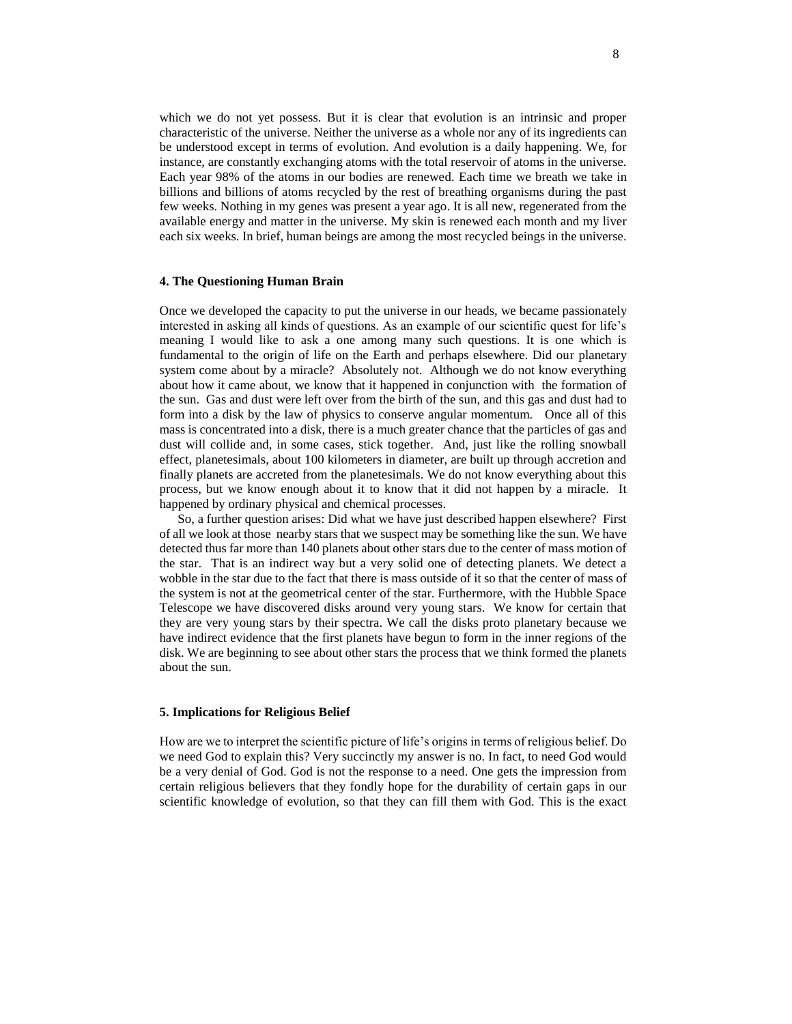which we do not yet possess. But it is clear that evolution is an intrinsic and proper characteristic of the universe. Neither the universe as a whole nor any of its ingredients can be understood except in terms of evolution. And evolution is a daily happening. We, for instance, are constantly exchanging atoms with the total reservoir of atoms in the universe. Each year 98% of the atoms in our bodies are renewed. Each time we breath we take in billions and billions of atoms recycled by the rest of breathing organisms during the past few weeks. Nothing in my genes was present a year ago. It is all new, regenerated from the available energy and matter in the universe. My skin is renewed each month and my liver each six weeks. In brief, human beings are among the most recycled beings in the universe.

#### **4. The Questioning Human Brain**

Once we developed the capacity to put the universe in our heads, we became passionately interested in asking all kinds of questions. As an example of our scientific quest for life's meaning I would like to ask a one among many such questions. It is one which is fundamental to the origin of life on the Earth and perhaps elsewhere. Did our planetary system come about by a miracle? Absolutely not. Although we do not know everything about how it came about, we know that it happened in conjunction with the formation of the sun. Gas and dust were left over from the birth of the sun, and this gas and dust had to form into a disk by the law of physics to conserve angular momentum. Once all of this mass is concentrated into a disk, there is a much greater chance that the particles of gas and dust will collide and, in some cases, stick together. And, just like the rolling snowball effect, planetesimals, about 100 kilometers in diameter, are built up through accretion and finally planets are accreted from the planetesimals. We do not know everything about this process, but we know enough about it to know that it did not happen by a miracle. It happened by ordinary physical and chemical processes.

So, a further question arises: Did what we have just described happen elsewhere? First of all we look at those nearby stars that we suspect may be something like the sun. We have detected thus far more than 140 planets about other stars due to the center of mass motion of the star. That is an indirect way but a very solid one of detecting planets. We detect a wobble in the star due to the fact that there is mass outside of it so that the center of mass of the system is not at the geometrical center of the star. Furthermore, with the Hubble Space Telescope we have discovered disks around very young stars. We know for certain that they are very young stars by their spectra. We call the disks proto planetary because we have indirect evidence that the first planets have begun to form in the inner regions of the disk. We are beginning to see about other stars the process that we think formed the planets about the sun.

### **5. Implications for Religious Belief**

How are we to interpret the scientific picture of life's origins in terms of religious belief. Do we need God to explain this? Very succinctly my answer is no. In fact, to need God would be a very denial of God. God is not the response to a need. One gets the impression from certain religious believers that they fondly hope for the durability of certain gaps in our scientific knowledge of evolution, so that they can fill them with God. This is the exact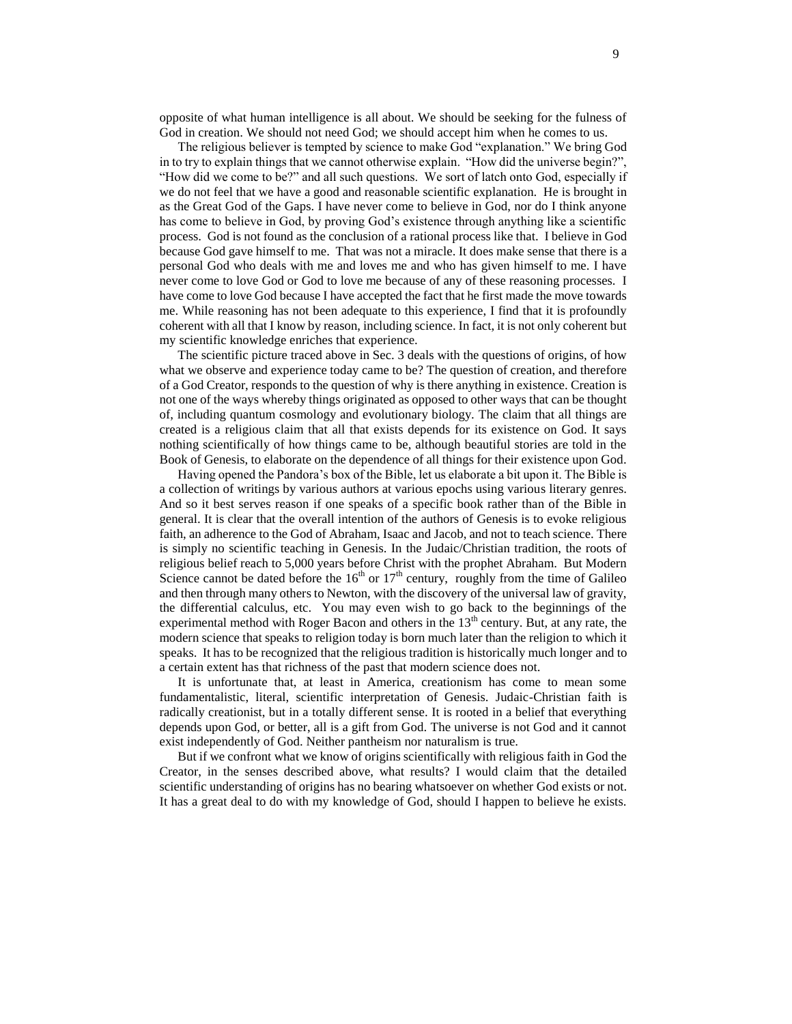opposite of what human intelligence is all about. We should be seeking for the fulness of God in creation. We should not need God; we should accept him when he comes to us.

The religious believer is tempted by science to make God "explanation." We bring God in to try to explain things that we cannot otherwise explain. "How did the universe begin?", "How did we come to be?" and all such questions. We sort of latch onto God, especially if we do not feel that we have a good and reasonable scientific explanation. He is brought in as the Great God of the Gaps. I have never come to believe in God, nor do I think anyone has come to believe in God, by proving God's existence through anything like a scientific process. God is not found as the conclusion of a rational process like that. I believe in God because God gave himself to me. That was not a miracle. It does make sense that there is a personal God who deals with me and loves me and who has given himself to me. I have never come to love God or God to love me because of any of these reasoning processes. I have come to love God because I have accepted the fact that he first made the move towards me. While reasoning has not been adequate to this experience, I find that it is profoundly coherent with all that I know by reason, including science. In fact, it is not only coherent but my scientific knowledge enriches that experience.

The scientific picture traced above in Sec. 3 deals with the questions of origins, of how what we observe and experience today came to be? The question of creation, and therefore of a God Creator, responds to the question of why is there anything in existence. Creation is not one of the ways whereby things originated as opposed to other ways that can be thought of, including quantum cosmology and evolutionary biology. The claim that all things are created is a religious claim that all that exists depends for its existence on God. It says nothing scientifically of how things came to be, although beautiful stories are told in the Book of Genesis, to elaborate on the dependence of all things for their existence upon God.

Having opened the Pandora's box of the Bible, let us elaborate a bit upon it. The Bible is a collection of writings by various authors at various epochs using various literary genres. And so it best serves reason if one speaks of a specific book rather than of the Bible in general. It is clear that the overall intention of the authors of Genesis is to evoke religious faith, an adherence to the God of Abraham, Isaac and Jacob, and not to teach science. There is simply no scientific teaching in Genesis. In the Judaic/Christian tradition, the roots of religious belief reach to 5,000 years before Christ with the prophet Abraham. But Modern Science cannot be dated before the  $16<sup>th</sup>$  or  $17<sup>th</sup>$  century, roughly from the time of Galileo and then through many others to Newton, with the discovery of the universal law of gravity, the differential calculus, etc. You may even wish to go back to the beginnings of the experimental method with Roger Bacon and others in the  $13<sup>th</sup>$  century. But, at any rate, the modern science that speaks to religion today is born much later than the religion to which it speaks. It has to be recognized that the religious tradition is historically much longer and to a certain extent has that richness of the past that modern science does not.

It is unfortunate that, at least in America, creationism has come to mean some fundamentalistic, literal, scientific interpretation of Genesis. Judaic-Christian faith is radically creationist, but in a totally different sense. It is rooted in a belief that everything depends upon God, or better, all is a gift from God. The universe is not God and it cannot exist independently of God. Neither pantheism nor naturalism is true.

But if we confront what we know of origins scientifically with religious faith in God the Creator, in the senses described above, what results? I would claim that the detailed scientific understanding of origins has no bearing whatsoever on whether God exists or not. It has a great deal to do with my knowledge of God, should I happen to believe he exists.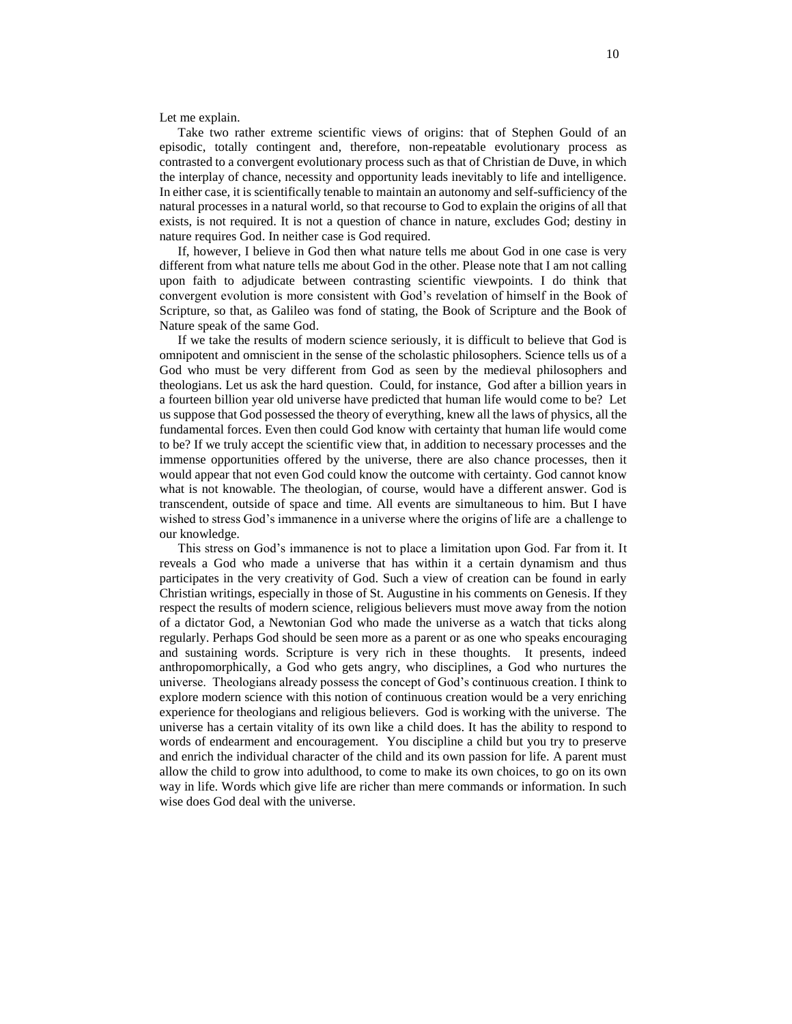Let me explain.

Take two rather extreme scientific views of origins: that of Stephen Gould of an episodic, totally contingent and, therefore, non-repeatable evolutionary process as contrasted to a convergent evolutionary process such as that of Christian de Duve, in which the interplay of chance, necessity and opportunity leads inevitably to life and intelligence. In either case, it is scientifically tenable to maintain an autonomy and self-sufficiency of the natural processes in a natural world, so that recourse to God to explain the origins of all that exists, is not required. It is not a question of chance in nature, excludes God; destiny in nature requires God. In neither case is God required.

If, however, I believe in God then what nature tells me about God in one case is very different from what nature tells me about God in the other. Please note that I am not calling upon faith to adjudicate between contrasting scientific viewpoints. I do think that convergent evolution is more consistent with God's revelation of himself in the Book of Scripture, so that, as Galileo was fond of stating, the Book of Scripture and the Book of Nature speak of the same God.

If we take the results of modern science seriously, it is difficult to believe that God is omnipotent and omniscient in the sense of the scholastic philosophers. Science tells us of a God who must be very different from God as seen by the medieval philosophers and theologians. Let us ask the hard question. Could, for instance, God after a billion years in a fourteen billion year old universe have predicted that human life would come to be? Let us suppose that God possessed the theory of everything, knew all the laws of physics, all the fundamental forces. Even then could God know with certainty that human life would come to be? If we truly accept the scientific view that, in addition to necessary processes and the immense opportunities offered by the universe, there are also chance processes, then it would appear that not even God could know the outcome with certainty. God cannot know what is not knowable. The theologian, of course, would have a different answer. God is transcendent, outside of space and time. All events are simultaneous to him. But I have wished to stress God's immanence in a universe where the origins of life are a challenge to our knowledge.

This stress on God's immanence is not to place a limitation upon God. Far from it. It reveals a God who made a universe that has within it a certain dynamism and thus participates in the very creativity of God. Such a view of creation can be found in early Christian writings, especially in those of St. Augustine in his comments on Genesis. If they respect the results of modern science, religious believers must move away from the notion of a dictator God, a Newtonian God who made the universe as a watch that ticks along regularly. Perhaps God should be seen more as a parent or as one who speaks encouraging and sustaining words. Scripture is very rich in these thoughts. It presents, indeed anthropomorphically, a God who gets angry, who disciplines, a God who nurtures the universe. Theologians already possess the concept of God's continuous creation. I think to explore modern science with this notion of continuous creation would be a very enriching experience for theologians and religious believers. God is working with the universe. The universe has a certain vitality of its own like a child does. It has the ability to respond to words of endearment and encouragement. You discipline a child but you try to preserve and enrich the individual character of the child and its own passion for life. A parent must allow the child to grow into adulthood, to come to make its own choices, to go on its own way in life. Words which give life are richer than mere commands or information. In such wise does God deal with the universe.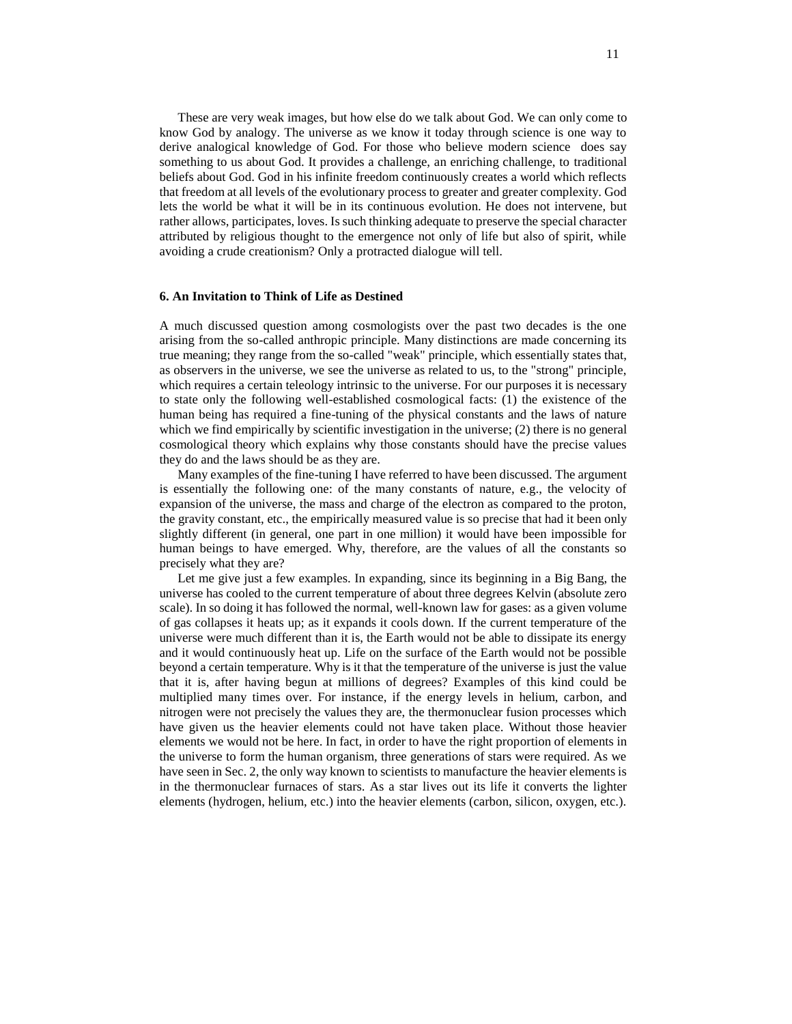These are very weak images, but how else do we talk about God. We can only come to know God by analogy. The universe as we know it today through science is one way to derive analogical knowledge of God. For those who believe modern science does say something to us about God. It provides a challenge, an enriching challenge, to traditional beliefs about God. God in his infinite freedom continuously creates a world which reflects that freedom at all levels of the evolutionary process to greater and greater complexity. God lets the world be what it will be in its continuous evolution. He does not intervene, but rather allows, participates, loves. Is such thinking adequate to preserve the special character attributed by religious thought to the emergence not only of life but also of spirit, while avoiding a crude creationism? Only a protracted dialogue will tell.

## **6. An Invitation to Think of Life as Destined**

A much discussed question among cosmologists over the past two decades is the one arising from the so-called anthropic principle. Many distinctions are made concerning its true meaning; they range from the so-called "weak" principle, which essentially states that, as observers in the universe, we see the universe as related to us, to the "strong" principle, which requires a certain teleology intrinsic to the universe. For our purposes it is necessary to state only the following well-established cosmological facts: (1) the existence of the human being has required a fine-tuning of the physical constants and the laws of nature which we find empirically by scientific investigation in the universe; (2) there is no general cosmological theory which explains why those constants should have the precise values they do and the laws should be as they are.

Many examples of the fine-tuning I have referred to have been discussed. The argument is essentially the following one: of the many constants of nature, e.g., the velocity of expansion of the universe, the mass and charge of the electron as compared to the proton, the gravity constant, etc., the empirically measured value is so precise that had it been only slightly different (in general, one part in one million) it would have been impossible for human beings to have emerged. Why, therefore, are the values of all the constants so precisely what they are?

Let me give just a few examples. In expanding, since its beginning in a Big Bang, the universe has cooled to the current temperature of about three degrees Kelvin (absolute zero scale). In so doing it has followed the normal, well-known law for gases: as a given volume of gas collapses it heats up; as it expands it cools down. If the current temperature of the universe were much different than it is, the Earth would not be able to dissipate its energy and it would continuously heat up. Life on the surface of the Earth would not be possible beyond a certain temperature. Why is it that the temperature of the universe is just the value that it is, after having begun at millions of degrees? Examples of this kind could be multiplied many times over. For instance, if the energy levels in helium, carbon, and nitrogen were not precisely the values they are, the thermonuclear fusion processes which have given us the heavier elements could not have taken place. Without those heavier elements we would not be here. In fact, in order to have the right proportion of elements in the universe to form the human organism, three generations of stars were required. As we have seen in Sec. 2, the only way known to scientists to manufacture the heavier elements is in the thermonuclear furnaces of stars. As a star lives out its life it converts the lighter elements (hydrogen, helium, etc.) into the heavier elements (carbon, silicon, oxygen, etc.).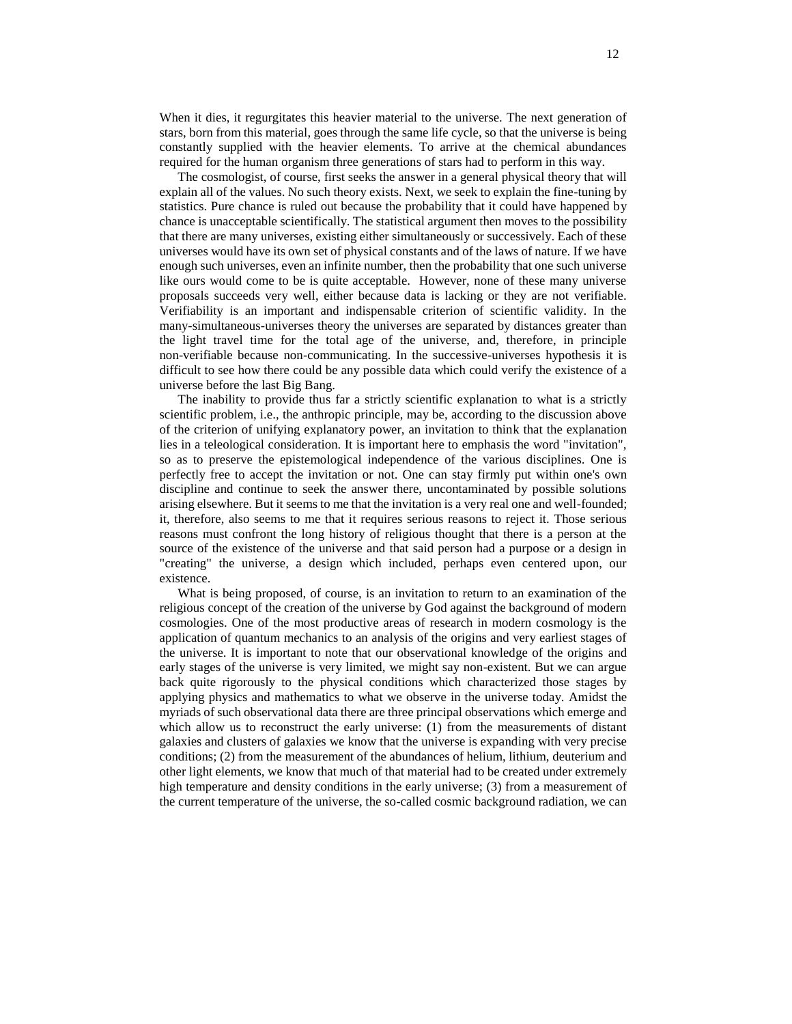When it dies, it regurgitates this heavier material to the universe. The next generation of stars, born from this material, goes through the same life cycle, so that the universe is being constantly supplied with the heavier elements. To arrive at the chemical abundances required for the human organism three generations of stars had to perform in this way.

The cosmologist, of course, first seeks the answer in a general physical theory that will explain all of the values. No such theory exists. Next, we seek to explain the fine-tuning by statistics. Pure chance is ruled out because the probability that it could have happened by chance is unacceptable scientifically. The statistical argument then moves to the possibility that there are many universes, existing either simultaneously or successively. Each of these universes would have its own set of physical constants and of the laws of nature. If we have enough such universes, even an infinite number, then the probability that one such universe like ours would come to be is quite acceptable. However, none of these many universe proposals succeeds very well, either because data is lacking or they are not verifiable. Verifiability is an important and indispensable criterion of scientific validity. In the many-simultaneous-universes theory the universes are separated by distances greater than the light travel time for the total age of the universe, and, therefore, in principle non-verifiable because non-communicating. In the successive-universes hypothesis it is difficult to see how there could be any possible data which could verify the existence of a universe before the last Big Bang.

The inability to provide thus far a strictly scientific explanation to what is a strictly scientific problem, i.e., the anthropic principle, may be, according to the discussion above of the criterion of unifying explanatory power, an invitation to think that the explanation lies in a teleological consideration. It is important here to emphasis the word "invitation", so as to preserve the epistemological independence of the various disciplines. One is perfectly free to accept the invitation or not. One can stay firmly put within one's own discipline and continue to seek the answer there, uncontaminated by possible solutions arising elsewhere. But it seems to me that the invitation is a very real one and well-founded; it, therefore, also seems to me that it requires serious reasons to reject it. Those serious reasons must confront the long history of religious thought that there is a person at the source of the existence of the universe and that said person had a purpose or a design in "creating" the universe, a design which included, perhaps even centered upon, our existence.

What is being proposed, of course, is an invitation to return to an examination of the religious concept of the creation of the universe by God against the background of modern cosmologies. One of the most productive areas of research in modern cosmology is the application of quantum mechanics to an analysis of the origins and very earliest stages of the universe. It is important to note that our observational knowledge of the origins and early stages of the universe is very limited, we might say non-existent. But we can argue back quite rigorously to the physical conditions which characterized those stages by applying physics and mathematics to what we observe in the universe today. Amidst the myriads of such observational data there are three principal observations which emerge and which allow us to reconstruct the early universe: (1) from the measurements of distant galaxies and clusters of galaxies we know that the universe is expanding with very precise conditions; (2) from the measurement of the abundances of helium, lithium, deuterium and other light elements, we know that much of that material had to be created under extremely high temperature and density conditions in the early universe; (3) from a measurement of the current temperature of the universe, the so-called cosmic background radiation, we can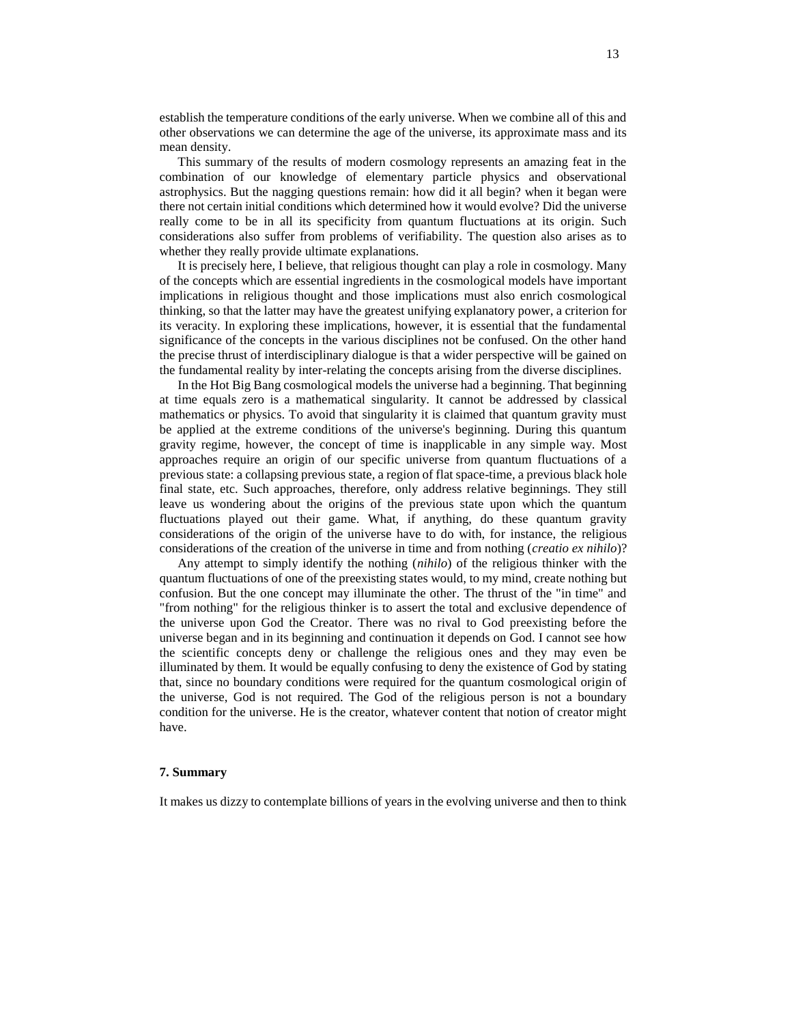establish the temperature conditions of the early universe. When we combine all of this and other observations we can determine the age of the universe, its approximate mass and its mean density.

This summary of the results of modern cosmology represents an amazing feat in the combination of our knowledge of elementary particle physics and observational astrophysics. But the nagging questions remain: how did it all begin? when it began were there not certain initial conditions which determined how it would evolve? Did the universe really come to be in all its specificity from quantum fluctuations at its origin. Such considerations also suffer from problems of verifiability. The question also arises as to whether they really provide ultimate explanations.

It is precisely here, I believe, that religious thought can play a role in cosmology. Many of the concepts which are essential ingredients in the cosmological models have important implications in religious thought and those implications must also enrich cosmological thinking, so that the latter may have the greatest unifying explanatory power, a criterion for its veracity. In exploring these implications, however, it is essential that the fundamental significance of the concepts in the various disciplines not be confused. On the other hand the precise thrust of interdisciplinary dialogue is that a wider perspective will be gained on the fundamental reality by inter-relating the concepts arising from the diverse disciplines.

In the Hot Big Bang cosmological models the universe had a beginning. That beginning at time equals zero is a mathematical singularity. It cannot be addressed by classical mathematics or physics. To avoid that singularity it is claimed that quantum gravity must be applied at the extreme conditions of the universe's beginning. During this quantum gravity regime, however, the concept of time is inapplicable in any simple way. Most approaches require an origin of our specific universe from quantum fluctuations of a previous state: a collapsing previous state, a region of flat space-time, a previous black hole final state, etc. Such approaches, therefore, only address relative beginnings. They still leave us wondering about the origins of the previous state upon which the quantum fluctuations played out their game. What, if anything, do these quantum gravity considerations of the origin of the universe have to do with, for instance, the religious considerations of the creation of the universe in time and from nothing (*creatio ex nihilo*)?

Any attempt to simply identify the nothing (*nihilo*) of the religious thinker with the quantum fluctuations of one of the preexisting states would, to my mind, create nothing but confusion. But the one concept may illuminate the other. The thrust of the "in time" and "from nothing" for the religious thinker is to assert the total and exclusive dependence of the universe upon God the Creator. There was no rival to God preexisting before the universe began and in its beginning and continuation it depends on God. I cannot see how the scientific concepts deny or challenge the religious ones and they may even be illuminated by them. It would be equally confusing to deny the existence of God by stating that, since no boundary conditions were required for the quantum cosmological origin of the universe, God is not required. The God of the religious person is not a boundary condition for the universe. He is the creator, whatever content that notion of creator might have.

## **7. Summary**

It makes us dizzy to contemplate billions of years in the evolving universe and then to think